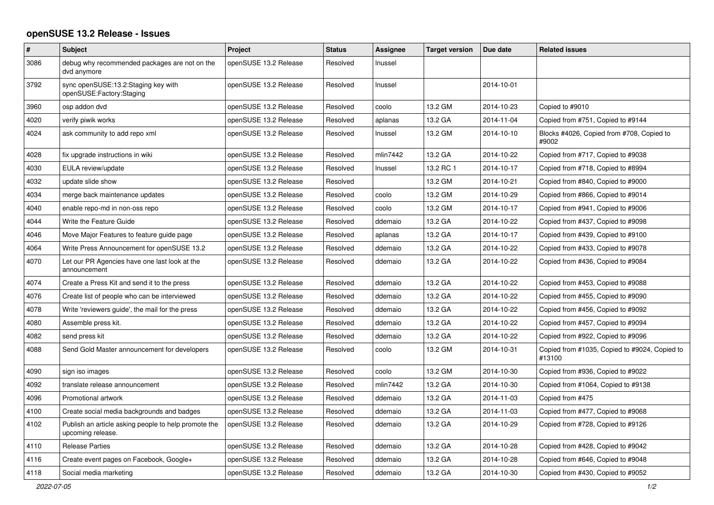## **openSUSE 13.2 Release - Issues**

| $\#$ | <b>Subject</b>                                                            | Project               | <b>Status</b> | Assignee | <b>Target version</b> | Due date   | <b>Related issues</b>                                   |
|------|---------------------------------------------------------------------------|-----------------------|---------------|----------|-----------------------|------------|---------------------------------------------------------|
| 3086 | debug why recommended packages are not on the<br>dvd anymore              | openSUSE 13.2 Release | Resolved      | Inussel  |                       |            |                                                         |
| 3792 | sync openSUSE:13.2:Staging key with<br>openSUSE:Factory:Staging           | openSUSE 13.2 Release | Resolved      | Inussel  |                       | 2014-10-01 |                                                         |
| 3960 | osp addon dvd                                                             | openSUSE 13.2 Release | Resolved      | coolo    | 13.2 GM               | 2014-10-23 | Copied to #9010                                         |
| 4020 | verify piwik works                                                        | openSUSE 13.2 Release | Resolved      | aplanas  | 13.2 GA               | 2014-11-04 | Copied from #751, Copied to #9144                       |
| 4024 | ask community to add repo xml                                             | openSUSE 13.2 Release | Resolved      | Inussel  | 13.2 GM               | 2014-10-10 | Blocks #4026, Copied from #708, Copied to<br>#9002      |
| 4028 | fix upgrade instructions in wiki                                          | openSUSE 13.2 Release | Resolved      | mlin7442 | 13.2 GA               | 2014-10-22 | Copied from #717, Copied to #9038                       |
| 4030 | EULA review/update                                                        | openSUSE 13.2 Release | Resolved      | Inussel  | 13.2 RC 1             | 2014-10-17 | Copied from #718, Copied to #8994                       |
| 4032 | update slide show                                                         | openSUSE 13.2 Release | Resolved      |          | 13.2 GM               | 2014-10-21 | Copied from #840, Copied to #9000                       |
| 4034 | merge back maintenance updates                                            | openSUSE 13.2 Release | Resolved      | coolo    | 13.2 GM               | 2014-10-29 | Copied from #866, Copied to #9014                       |
| 4040 | enable repo-md in non-oss repo                                            | openSUSE 13.2 Release | Resolved      | coolo    | 13.2 GM               | 2014-10-17 | Copied from #941, Copied to #9006                       |
| 4044 | Write the Feature Guide                                                   | openSUSE 13.2 Release | Resolved      | ddemaio  | 13.2 GA               | 2014-10-22 | Copied from #437, Copied to #9098                       |
| 4046 | Move Major Features to feature guide page                                 | openSUSE 13.2 Release | Resolved      | aplanas  | 13.2 GA               | 2014-10-17 | Copied from #439, Copied to #9100                       |
| 4064 | Write Press Announcement for openSUSE 13.2                                | openSUSE 13.2 Release | Resolved      | ddemaio  | 13.2 GA               | 2014-10-22 | Copied from #433, Copied to #9078                       |
| 4070 | Let our PR Agencies have one last look at the<br>announcement             | openSUSE 13.2 Release | Resolved      | ddemaio  | 13.2 GA               | 2014-10-22 | Copied from #436, Copied to #9084                       |
| 4074 | Create a Press Kit and send it to the press                               | openSUSE 13.2 Release | Resolved      | ddemaio  | 13.2 GA               | 2014-10-22 | Copied from #453, Copied to #9088                       |
| 4076 | Create list of people who can be interviewed                              | openSUSE 13.2 Release | Resolved      | ddemaio  | 13.2 GA               | 2014-10-22 | Copied from #455, Copied to #9090                       |
| 4078 | Write 'reviewers guide', the mail for the press                           | openSUSE 13.2 Release | Resolved      | ddemaio  | 13.2 GA               | 2014-10-22 | Copied from #456, Copied to #9092                       |
| 4080 | Assemble press kit.                                                       | openSUSE 13.2 Release | Resolved      | ddemaio  | 13.2 GA               | 2014-10-22 | Copied from #457, Copied to #9094                       |
| 4082 | send press kit                                                            | openSUSE 13.2 Release | Resolved      | ddemaio  | 13.2 GA               | 2014-10-22 | Copied from #922, Copied to #9096                       |
| 4088 | Send Gold Master announcement for developers                              | openSUSE 13.2 Release | Resolved      | coolo    | 13.2 GM               | 2014-10-31 | Copied from #1035, Copied to #9024, Copied to<br>#13100 |
| 4090 | sign iso images                                                           | openSUSE 13.2 Release | Resolved      | coolo    | 13.2 GM               | 2014-10-30 | Copied from #936, Copied to #9022                       |
| 4092 | translate release announcement                                            | openSUSE 13.2 Release | Resolved      | mlin7442 | 13.2 GA               | 2014-10-30 | Copied from #1064, Copied to #9138                      |
| 4096 | Promotional artwork                                                       | openSUSE 13.2 Release | Resolved      | ddemaio  | 13.2 GA               | 2014-11-03 | Copied from #475                                        |
| 4100 | Create social media backgrounds and badges                                | openSUSE 13.2 Release | Resolved      | ddemaio  | 13.2 GA               | 2014-11-03 | Copied from #477, Copied to #9068                       |
| 4102 | Publish an article asking people to help promote the<br>upcoming release. | openSUSE 13.2 Release | Resolved      | ddemaio  | 13.2 GA               | 2014-10-29 | Copied from #728, Copied to #9126                       |
| 4110 | <b>Release Parties</b>                                                    | openSUSE 13.2 Release | Resolved      | ddemaio  | 13.2 GA               | 2014-10-28 | Copied from #428, Copied to #9042                       |
| 4116 | Create event pages on Facebook, Google+                                   | openSUSE 13.2 Release | Resolved      | ddemaio  | 13.2 GA               | 2014-10-28 | Copied from #646, Copied to #9048                       |
| 4118 | Social media marketing                                                    | openSUSE 13.2 Release | Resolved      | ddemaio  | 13.2 GA               | 2014-10-30 | Copied from #430, Copied to #9052                       |